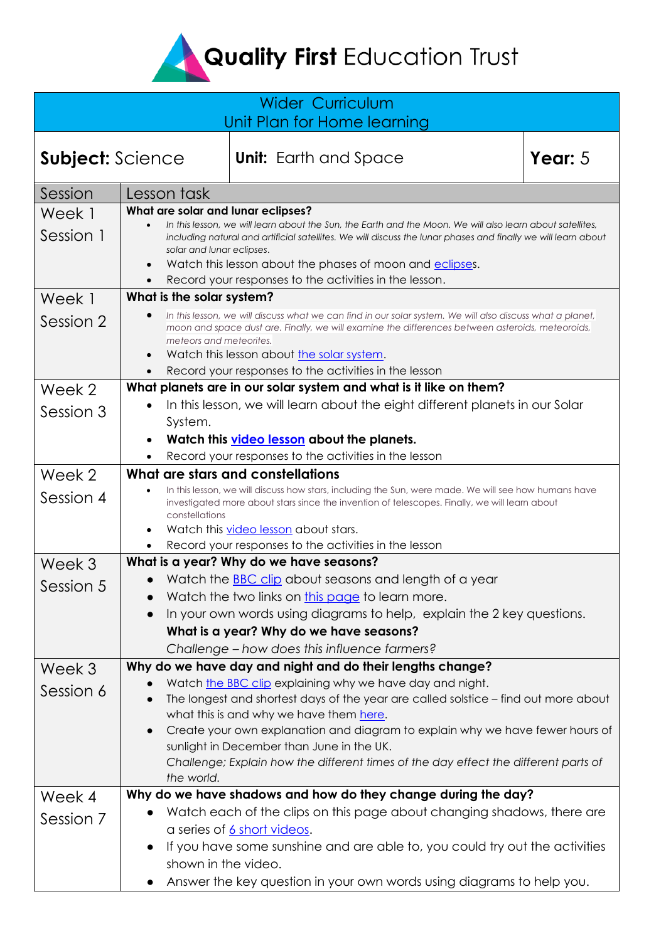**Quality First Education Trust** 

## Wider Curriculum Unit Plan for Home learning

**Subject:** Science **Unit:** Earth and Space **Year:** 5

| Session   | Lesson task                                                                                                                                                                                                                                                                           |
|-----------|---------------------------------------------------------------------------------------------------------------------------------------------------------------------------------------------------------------------------------------------------------------------------------------|
| Week 1    | What are solar and lunar eclipses?                                                                                                                                                                                                                                                    |
| Session 1 | In this lesson, we will learn about the Sun, the Earth and the Moon. We will also learn about satellites,<br>including natural and artificial satellites. We will discuss the lunar phases and finally we will learn about<br>solar and lunar eclipses.                               |
|           | Watch this lesson about the phases of moon and eclipses.                                                                                                                                                                                                                              |
|           | Record your responses to the activities in the lesson.                                                                                                                                                                                                                                |
| Week 1    | What is the solar system?                                                                                                                                                                                                                                                             |
| Session 2 | In this lesson, we will discuss what we can find in our solar system. We will also discuss what a planet,<br>moon and space dust are. Finally, we will examine the differences between asteroids, meteoroids,<br>meteors and meteorites.<br>Watch this lesson about the solar system. |
|           | Record your responses to the activities in the lesson                                                                                                                                                                                                                                 |
| Week 2    | What planets are in our solar system and what is it like on them?                                                                                                                                                                                                                     |
|           | In this lesson, we will learn about the eight different planets in our Solar                                                                                                                                                                                                          |
| Session 3 | System.                                                                                                                                                                                                                                                                               |
|           | Watch this video lesson about the planets.                                                                                                                                                                                                                                            |
|           | Record your responses to the activities in the lesson                                                                                                                                                                                                                                 |
| Week 2    | What are stars and constellations                                                                                                                                                                                                                                                     |
|           | In this lesson, we will discuss how stars, including the Sun, were made. We will see how humans have                                                                                                                                                                                  |
| Session 4 | investigated more about stars since the invention of telescopes. Finally, we will learn about                                                                                                                                                                                         |
|           | constellations                                                                                                                                                                                                                                                                        |
|           | Watch this video lesson about stars.                                                                                                                                                                                                                                                  |
|           | Record your responses to the activities in the lesson                                                                                                                                                                                                                                 |
| Week 3    | What is a year? Why do we have seasons?                                                                                                                                                                                                                                               |
| Session 5 | Watch the <b>BBC</b> clip about seasons and length of a year                                                                                                                                                                                                                          |
|           | Watch the two links on this page to learn more.<br>$\bullet$                                                                                                                                                                                                                          |
|           | In your own words using diagrams to help, explain the 2 key questions.<br>$\bullet$                                                                                                                                                                                                   |
|           | What is a year? Why do we have seasons?                                                                                                                                                                                                                                               |
|           | Challenge - how does this influence farmers?                                                                                                                                                                                                                                          |
| Week 3    | Why do we have day and night and do their lengths change?                                                                                                                                                                                                                             |
| Session 6 | Watch the BBC clip explaining why we have day and night.                                                                                                                                                                                                                              |
|           | The longest and shortest days of the year are called solstice – find out more about                                                                                                                                                                                                   |
|           | what this is and why we have them here.                                                                                                                                                                                                                                               |
|           | Create your own explanation and diagram to explain why we have fewer hours of<br>$\bullet$<br>sunlight in December than June in the UK.                                                                                                                                               |
|           | Challenge; Explain how the different times of the day effect the different parts of                                                                                                                                                                                                   |
|           | the world.                                                                                                                                                                                                                                                                            |
| Week 4    | Why do we have shadows and how do they change during the day?                                                                                                                                                                                                                         |
|           | Watch each of the clips on this page about changing shadows, there are                                                                                                                                                                                                                |
| Session 7 | a series of 6 short videos.                                                                                                                                                                                                                                                           |
|           | If you have some sunshine and are able to, you could try out the activities                                                                                                                                                                                                           |
|           | shown in the video.                                                                                                                                                                                                                                                                   |
|           |                                                                                                                                                                                                                                                                                       |
|           | Answer the key question in your own words using diagrams to help you.                                                                                                                                                                                                                 |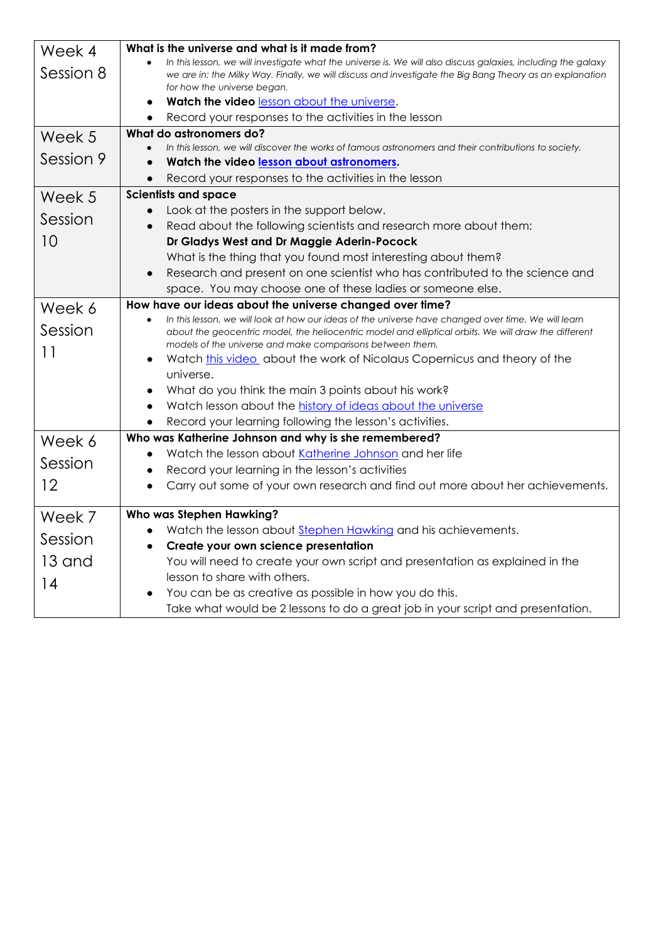| Week 4    | What is the universe and what is it made from?                                                                                                                    |
|-----------|-------------------------------------------------------------------------------------------------------------------------------------------------------------------|
| Session 8 | In this lesson, we will investigate what the universe is. We will also discuss galaxies, including the galaxy                                                     |
|           | we are in: the Milky Way. Finally, we will discuss and investigate the Big Bang Theory as an explanation<br>for how the universe began.                           |
|           | Watch the video lesson about the universe.<br>$\bullet$                                                                                                           |
|           | Record your responses to the activities in the lesson<br>$\bullet$                                                                                                |
| Week 5    | What do astronomers do?                                                                                                                                           |
|           | In this lesson, we will discover the works of famous astronomers and their contributions to society.                                                              |
| Session 9 | Watch the video lesson about astronomers.                                                                                                                         |
|           | Record your responses to the activities in the lesson                                                                                                             |
| Week 5    | <b>Scientists and space</b>                                                                                                                                       |
| Session   | Look at the posters in the support below.                                                                                                                         |
|           | Read about the following scientists and research more about them:                                                                                                 |
| 10        | Dr Gladys West and Dr Maggie Aderin-Pocock                                                                                                                        |
|           | What is the thing that you found most interesting about them?                                                                                                     |
|           | Research and present on one scientist who has contributed to the science and<br>$\bullet$                                                                         |
|           | space. You may choose one of these ladies or someone else.                                                                                                        |
| Week 6    | How have our ideas about the universe changed over time?                                                                                                          |
| Session   | In this lesson, we will look at how our ideas of the universe have changed over time. We will learn                                                               |
|           | about the geocentric model, the heliocentric model and elliptical orbits. We will draw the different<br>models of the universe and make comparisons between them. |
| 11        | Watch this video about the work of Nicolaus Copernicus and theory of the                                                                                          |
|           | universe.                                                                                                                                                         |
|           | What do you think the main 3 points about his work?                                                                                                               |
|           | Watch lesson about the history of ideas about the universe                                                                                                        |
|           | Record your learning following the lesson's activities.                                                                                                           |
| Week 6    | Who was Katherine Johnson and why is she remembered?                                                                                                              |
|           | Watch the lesson about Katherine Johnson and her life                                                                                                             |
| Session   | Record your learning in the lesson's activities                                                                                                                   |
| 12        | Carry out some of your own research and find out more about her achievements.                                                                                     |
| Week 7    | Who was Stephen Hawking?                                                                                                                                          |
|           | Watch the lesson about Stephen Hawking and his achievements.                                                                                                      |
| Session   | Create your own science presentation<br>$\bullet$                                                                                                                 |
| 13 and    | You will need to create your own script and presentation as explained in the                                                                                      |
| 14        | lesson to share with others.                                                                                                                                      |
|           | You can be as creative as possible in how you do this.                                                                                                            |
|           | Take what would be 2 lessons to do a great job in your script and presentation.                                                                                   |